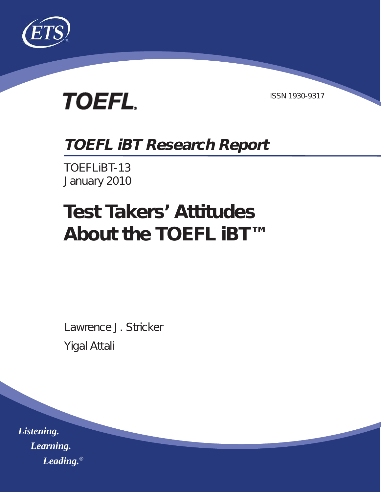

**TOEFL.** 

ISSN 1930-9317

## *TOEFL iBT Research Report*

*TOEFLiBT-13 January 2010*

# *Test Takers' Attitudes About the TOEFL iBT™*

Lawrence J. Stricker Yigal Attali

*Listening. Learning. Leading.®*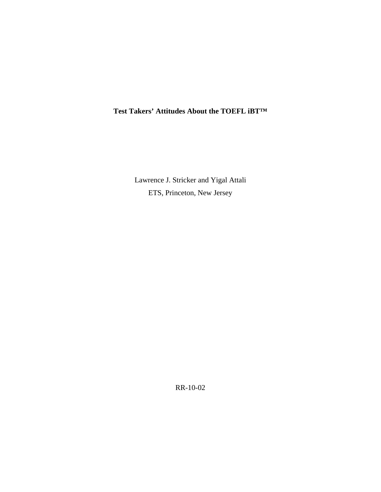## **Test Takers' Attitudes About the TOEFL iBT™**

Lawrence J. Stricker and Yigal Attali ETS, Princeton, New Jersey

RR-10-02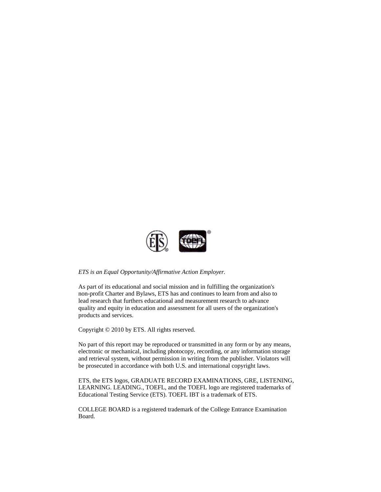

#### *ETS is an Equal Opportunity/Affirmative Action Employer.*

As part of its educational and social mission and in fulfilling the organization's non-profit Charter and Bylaws, ETS has and continues to learn from and also to lead research that furthers educational and measurement research to advance quality and equity in education and assessment for all users of the organization's products and services.

Copyright © 2010 by ETS. All rights reserved.

No part of this report may be reproduced or transmitted in any form or by any means, electronic or mechanical, including photocopy, recording, or any information storage and retrieval system, without permission in writing from the publisher. Violators will be prosecuted in accordance with both U.S. and international copyright laws.

ETS, the ETS logos, GRADUATE RECORD EXAMINATIONS, GRE, LISTENING, LEARNING. LEADING., TOEFL, and the TOEFL logo are registered trademarks of Educational Testing Service (ETS). TOEFL IBT is a trademark of ETS.

COLLEGE BOARD is a registered trademark of the College Entrance Examination Board.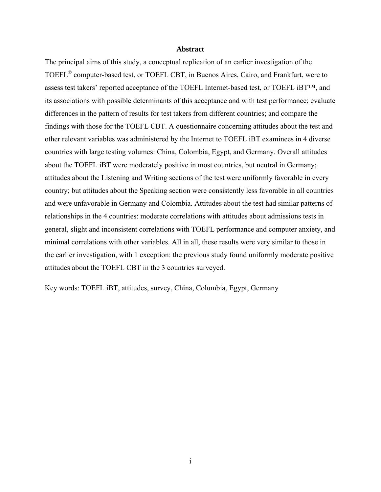#### **Abstract**

The principal aims of this study, a conceptual replication of an earlier investigation of the TOEFL® computer-based test, or TOEFL CBT, in Buenos Aires, Cairo, and Frankfurt, were to assess test takers' reported acceptance of the TOEFL Internet-based test, or TOEFL iBT™, and its associations with possible determinants of this acceptance and with test performance; evaluate differences in the pattern of results for test takers from different countries; and compare the findings with those for the TOEFL CBT. A questionnaire concerning attitudes about the test and other relevant variables was administered by the Internet to TOEFL iBT examinees in 4 diverse countries with large testing volumes: China, Colombia, Egypt, and Germany. Overall attitudes about the TOEFL iBT were moderately positive in most countries, but neutral in Germany; attitudes about the Listening and Writing sections of the test were uniformly favorable in every country; but attitudes about the Speaking section were consistently less favorable in all countries and were unfavorable in Germany and Colombia. Attitudes about the test had similar patterns of relationships in the 4 countries: moderate correlations with attitudes about admissions tests in general, slight and inconsistent correlations with TOEFL performance and computer anxiety, and minimal correlations with other variables. All in all, these results were very similar to those in the earlier investigation, with 1 exception: the previous study found uniformly moderate positive attitudes about the TOEFL CBT in the 3 countries surveyed.

Key words: TOEFL iBT, attitudes, survey, China, Columbia, Egypt, Germany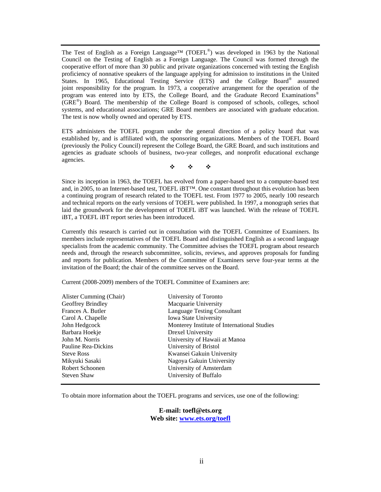The Test of English as a Foreign Language<sup>TM</sup> (TOEFL<sup>®</sup>) was developed in 1963 by the National Council on the Testing of English as a Foreign Language. The Council was formed through the cooperative effort of more than 30 public and private organizations concerned with testing the English proficiency of nonnative speakers of the language applying for admission to institutions in the United States. In 1965, Educational Testing Service (ETS) and the College Board® assumed joint responsibility for the program. In 1973, a cooperative arrangement for the operation of the program was entered into by ETS, the College Board, and the Graduate Record Examinations® (GRE®) Board. The membership of the College Board is composed of schools, colleges, school systems, and educational associations; GRE Board members are associated with graduate education. The test is now wholly owned and operated by ETS.

ETS administers the TOEFL program under the general direction of a policy board that was established by, and is affiliated with, the sponsoring organizations. Members of the TOEFL Board (previously the Policy Council) represent the College Board, the GRE Board, and such institutions and agencies as graduate schools of business, two-year colleges, and nonprofit educational exchange agencies.

 $\Phi_{\rm c} = \Phi_{\rm c} = \Phi_{\rm c}$ 

Since its inception in 1963, the TOEFL has evolved from a paper-based test to a computer-based test and, in 2005, to an Internet-based test, TOEFL iBT™. One constant throughout this evolution has been a continuing program of research related to the TOEFL test. From 1977 to 2005, nearly 100 research and technical reports on the early versions of TOEFL were published. In 1997, a monograph series that laid the groundwork for the development of TOEFL iBT was launched. With the release of TOEFL iBT, a TOEFL iBT report series has been introduced.

Currently this research is carried out in consultation with the TOEFL Committee of Examiners. Its members include representatives of the TOEFL Board and distinguished English as a second language specialists from the academic community. The Committee advises the TOEFL program about research needs and, through the research subcommittee, solicits, reviews, and approves proposals for funding and reports for publication. Members of the Committee of Examiners serve four-year terms at the invitation of the Board; the chair of the committee serves on the Board.

Current (2008-2009) members of the TOEFL Committee of Examiners are:

| Alister Cumming (Chair) | University of Toronto                       |
|-------------------------|---------------------------------------------|
| Geoffrey Brindley       | Macquarie University                        |
| Frances A. Butler       | <b>Language Testing Consultant</b>          |
| Carol A. Chapelle       | <b>Iowa State University</b>                |
| John Hedgcock           | Monterey Institute of International Studies |
| Barbara Hoekje          | Drexel University                           |
| John M. Norris          | University of Hawaii at Manoa               |
| Pauline Rea-Dickins     | University of Bristol                       |
| <b>Steve Ross</b>       | Kwansei Gakuin University                   |
| Mikyuki Sasaki          | Nagoya Gakuin University                    |
| Robert Schoonen         | University of Amsterdam                     |
| <b>Steven Shaw</b>      | University of Buffalo                       |

To obtain more information about the TOEFL programs and services, use one of the following:

**E-mail: toefl@ets.org Web site: www.ets.org/toefl**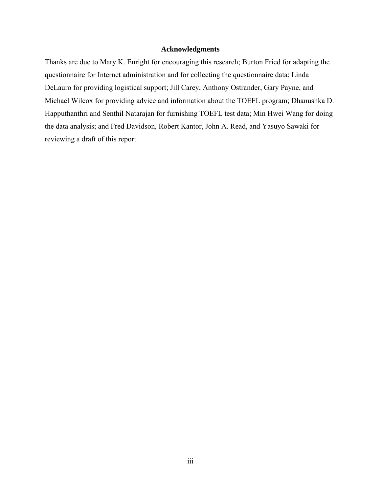#### **Acknowledgments**

Thanks are due to Mary K. Enright for encouraging this research; Burton Fried for adapting the questionnaire for Internet administration and for collecting the questionnaire data; Linda DeLauro for providing logistical support; Jill Carey, Anthony Ostrander, Gary Payne, and Michael Wilcox for providing advice and information about the TOEFL program; Dhanushka D. Happuthanthri and Senthil Natarajan for furnishing TOEFL test data; Min Hwei Wang for doing the data analysis; and Fred Davidson, Robert Kantor, John A. Read, and Yasuyo Sawaki for reviewing a draft of this report.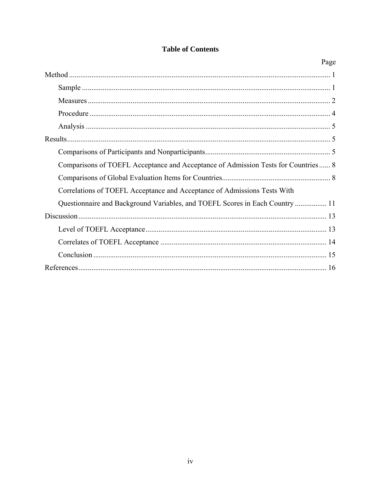## **Table of Contents**

| Page                                                                              |
|-----------------------------------------------------------------------------------|
|                                                                                   |
|                                                                                   |
|                                                                                   |
|                                                                                   |
|                                                                                   |
|                                                                                   |
|                                                                                   |
| Comparisons of TOEFL Acceptance and Acceptance of Admission Tests for Countries 8 |
|                                                                                   |
| Correlations of TOEFL Acceptance and Acceptance of Admissions Tests With          |
| Questionnaire and Background Variables, and TOEFL Scores in Each Country  11      |
|                                                                                   |
|                                                                                   |
|                                                                                   |
|                                                                                   |
|                                                                                   |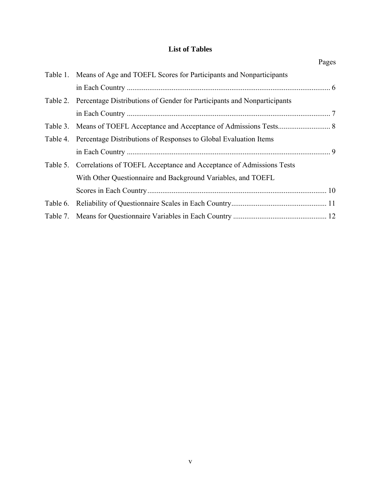## **List of Tables**

|          |                                                                                  | Pages |
|----------|----------------------------------------------------------------------------------|-------|
|          | Table 1. Means of Age and TOEFL Scores for Participants and Nonparticipants      |       |
|          |                                                                                  |       |
|          | Table 2. Percentage Distributions of Gender for Participants and Nonparticipants |       |
|          |                                                                                  |       |
|          |                                                                                  |       |
|          | Table 4. Percentage Distributions of Responses to Global Evaluation Items        |       |
|          |                                                                                  |       |
|          | Table 5. Correlations of TOEFL Acceptance and Acceptance of Admissions Tests     |       |
|          | With Other Questionnaire and Background Variables, and TOEFL                     |       |
|          |                                                                                  |       |
| Table 6. |                                                                                  |       |
| Table 7. |                                                                                  |       |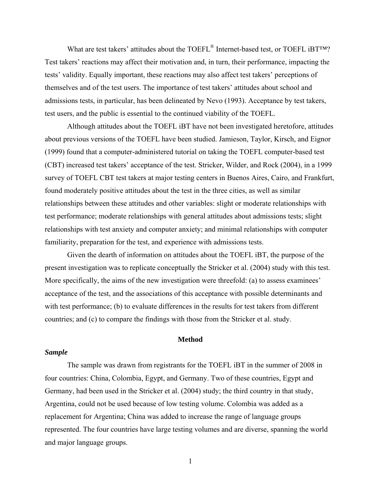What are test takers' attitudes about the TOEFL<sup>®</sup> Internet-based test, or TOEFL iBT<sup>™?</sup> Test takers' reactions may affect their motivation and, in turn, their performance, impacting the tests' validity. Equally important, these reactions may also affect test takers' perceptions of themselves and of the test users. The importance of test takers' attitudes about school and admissions tests, in particular, has been delineated by Nevo (1993). Acceptance by test takers, test users, and the public is essential to the continued viability of the TOEFL.

Although attitudes about the TOEFL iBT have not been investigated heretofore, attitudes about previous versions of the TOEFL have been studied. Jamieson, Taylor, Kirsch, and Eignor (1999) found that a computer-administered tutorial on taking the TOEFL computer-based test (CBT) increased test takers' acceptance of the test. Stricker, Wilder, and Rock (2004), in a 1999 survey of TOEFL CBT test takers at major testing centers in Buenos Aires, Cairo, and Frankfurt, found moderately positive attitudes about the test in the three cities, as well as similar relationships between these attitudes and other variables: slight or moderate relationships with test performance; moderate relationships with general attitudes about admissions tests; slight relationships with test anxiety and computer anxiety; and minimal relationships with computer familiarity, preparation for the test, and experience with admissions tests.

Given the dearth of information on attitudes about the TOEFL iBT, the purpose of the present investigation was to replicate conceptually the Stricker et al. (2004) study with this test. More specifically, the aims of the new investigation were threefold: (a) to assess examinees' acceptance of the test, and the associations of this acceptance with possible determinants and with test performance; (b) to evaluate differences in the results for test takers from different countries; and (c) to compare the findings with those from the Stricker et al. study.

#### **Method**

#### *Sample*

The sample was drawn from registrants for the TOEFL iBT in the summer of 2008 in four countries: China, Colombia, Egypt, and Germany. Two of these countries, Egypt and Germany, had been used in the Stricker et al. (2004) study; the third country in that study, Argentina, could not be used because of low testing volume. Colombia was added as a replacement for Argentina; China was added to increase the range of language groups represented. The four countries have large testing volumes and are diverse, spanning the world and major language groups.

1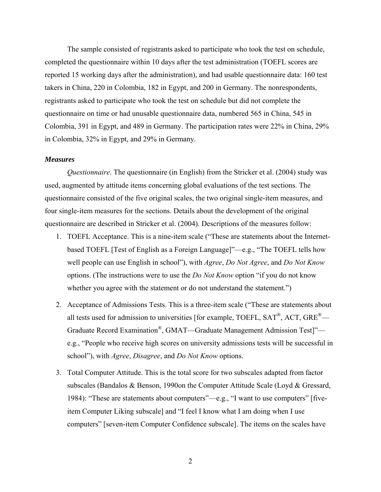The sample consisted of registrants asked to participate who took the test on schedule, completed the questionnaire within 10 days after the test administration (TOEFL scores are reported 15 working days after the administration), and had usable questionnaire data: 160 test takers in China, 220 in Colombia, 182 in Egypt, and 200 in Germany. The nonrespondents, registrants asked to participate who took the test on schedule but did not complete the questionnaire on time or had unusable questionnaire data, numbered 565 in China, 545 in Colombia, 391 in Egypt, and 489 in Germany. The participation rates were 22% in China, 29% in Colombia, 32% in Egypt, and 29% in Germany.

#### *Measures*

*Questionnaire*. The questionnaire (in English) from the Stricker et al. (2004) study was used, augmented by attitude items concerning global evaluations of the test sections. The questionnaire consisted of the five original scales, the two original single-item measures, and four single-item measures for the sections. Details about the development of the original questionnaire are described in Stricker et al. (2004). Descriptions of the measures follow:

- 1. TOEFL Acceptance. This is a nine-item scale ("These are statements about the Internetbased TOEFL [Test of English as a Foreign Language]"—e.g., "The TOEFL tells how well people can use English in school"), with *Agree*, *Do Not Agree*, and *Do Not Know* options. (The instructions were to use the *Do Not Know* option "if you do not know whether you agree with the statement or do not understand the statement.")
- 2. Acceptance of Admissions Tests. This is a three-item scale ("These are statements about all tests used for admission to universities [for example, TOEFL, SAT®, ACT, GRE®— Graduate Record Examination®, GMAT—Graduate Management Admission Test]" e.g., "People who receive high scores on university admissions tests will be successful in school"), with *Agree*, *Disagree*, and *Do Not Know* options.
- 3. Total Computer Attitude. This is the total score for two subscales adapted from factor subscales (Bandalos & Benson, 1990on the Computer Attitude Scale (Loyd & Gressard, 1984): "These are statements about computers"—e.g., "I want to use computers" [fiveitem Computer Liking subscale] and "I feel I know what I am doing when I use computers" [seven-item Computer Confidence subscale]. The items on the scales have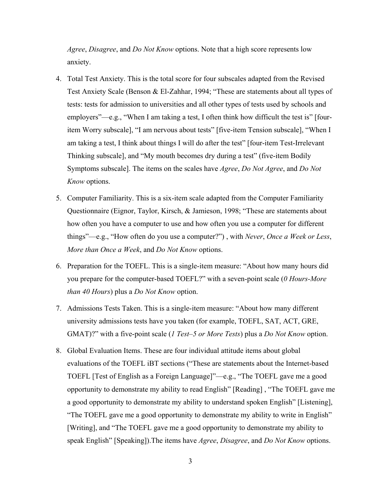*Agree*, *Disagree*, and *Do Not Know* options. Note that a high score represents low anxiety.

- 4. Total Test Anxiety. This is the total score for four subscales adapted from the Revised Test Anxiety Scale (Benson & El-Zahhar, 1994; "These are statements about all types of tests: tests for admission to universities and all other types of tests used by schools and employers"—e.g., "When I am taking a test, I often think how difficult the test is" [fouritem Worry subscale], "I am nervous about tests" [five-item Tension subscale], "When I am taking a test, I think about things I will do after the test" [four-item Test-Irrelevant Thinking subscale], and "My mouth becomes dry during a test" (five-item Bodily Symptoms subscale]. The items on the scales have *Agree*, *Do Not Agree*, and *Do Not Know* options.
- 5. Computer Familiarity. This is a six-item scale adapted from the Computer Familiarity Questionnaire (Eignor, Taylor, Kirsch, & Jamieson, 1998; "These are statements about how often you have a computer to use and how often you use a computer for different things"—e.g., "How often do you use a computer?") , with *Never*, *Once a Week or Less*, *More than Once a Week*, and *Do Not Know* options.
- 6. Preparation for the TOEFL. This is a single-item measure: "About how many hours did you prepare for the computer-based TOEFL?" with a seven-point scale (*0 Hours-More than 40 Hours*) plus a *Do Not Know* option.
- 7. Admissions Tests Taken. This is a single-item measure: "About how many different university admissions tests have you taken (for example, TOEFL, SAT, ACT, GRE, GMAT)?" with a five-point scale (*1 Test–5 or More Tests*) plus a *Do Not Know* option.
- 8. Global Evaluation Items. These are four individual attitude items about global evaluations of the TOEFL iBT sections ("These are statements about the Internet-based TOEFL [Test of English as a Foreign Language]"—e.g., "The TOEFL gave me a good opportunity to demonstrate my ability to read English" [Reading] , "The TOEFL gave me a good opportunity to demonstrate my ability to understand spoken English" [Listening], "The TOEFL gave me a good opportunity to demonstrate my ability to write in English" [Writing], and "The TOEFL gave me a good opportunity to demonstrate my ability to speak English" [Speaking]).The items have *Agree*, *Disagree*, and *Do Not Know* options.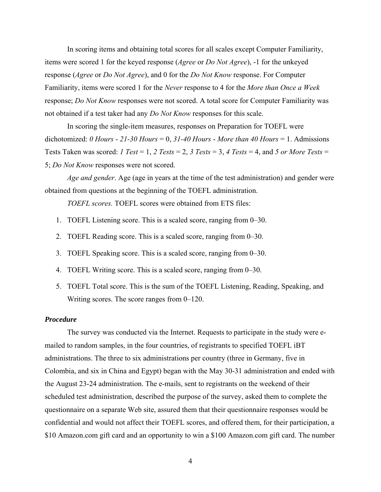In scoring items and obtaining total scores for all scales except Computer Familiarity, items were scored 1 for the keyed response (*Agree* or *Do Not Agree*), -1 for the unkeyed response (*Agree* or *Do Not Agree*), and 0 for the *Do Not Know* response. For Computer Familiarity, items were scored 1 for the *Never* response to 4 for the *More than Once a Week* response; *Do Not Know* responses were not scored. A total score for Computer Familiarity was not obtained if a test taker had any *Do Not Know* responses for this scale.

In scoring the single-item measures, responses on Preparation for TOEFL were dichotomized: *0 Hours* - *21-30 Hours* = 0, *31-40 Hours* - *More than 40 Hours* = 1. Admissions Tests Taken was scored: *1 Test* = 1, *2 Tests* = 2, *3 Tests* = 3, *4 Tests* = 4, and *5 or More Tests* = 5; *Do Not Know* responses were not scored.

*Age and gender*. Age (age in years at the time of the test administration) and gender were obtained from questions at the beginning of the TOEFL administration.

*TOEFL scores.* TOEFL scores were obtained from ETS files:

- 1. TOEFL Listening score. This is a scaled score, ranging from 0–30.
- 2. TOEFL Reading score. This is a scaled score, ranging from 0–30.
- 3. TOEFL Speaking score. This is a scaled score, ranging from 0–30.
- 4. TOEFL Writing score. This is a scaled score, ranging from 0–30.
- 5. TOEFL Total score. This is the sum of the TOEFL Listening, Reading, Speaking, and Writing scores. The score ranges from 0–120.

#### *Procedure*

The survey was conducted via the Internet. Requests to participate in the study were emailed to random samples, in the four countries, of registrants to specified TOEFL iBT administrations. The three to six administrations per country (three in Germany, five in Colombia, and six in China and Egypt) began with the May 30-31 administration and ended with the August 23-24 administration. The e-mails, sent to registrants on the weekend of their scheduled test administration, described the purpose of the survey, asked them to complete the questionnaire on a separate Web site, assured them that their questionnaire responses would be confidential and would not affect their TOEFL scores, and offered them, for their participation, a \$10 Amazon.com gift card and an opportunity to win a \$100 Amazon.com gift card. The number

4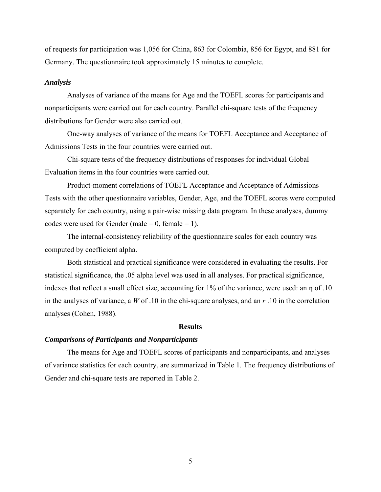of requests for participation was 1,056 for China, 863 for Colombia, 856 for Egypt, and 881 for Germany. The questionnaire took approximately 15 minutes to complete.

#### *Analysis*

Analyses of variance of the means for Age and the TOEFL scores for participants and nonparticipants were carried out for each country. Parallel chi-square tests of the frequency distributions for Gender were also carried out.

One-way analyses of variance of the means for TOEFL Acceptance and Acceptance of Admissions Tests in the four countries were carried out.

Chi-square tests of the frequency distributions of responses for individual Global Evaluation items in the four countries were carried out.

Product-moment correlations of TOEFL Acceptance and Acceptance of Admissions Tests with the other questionnaire variables, Gender, Age, and the TOEFL scores were computed separately for each country, using a pair-wise missing data program. In these analyses, dummy codes were used for Gender (male  $= 0$ , female  $= 1$ ).

The internal-consistency reliability of the questionnaire scales for each country was computed by coefficient alpha.

Both statistical and practical significance were considered in evaluating the results. For statistical significance, the .05 alpha level was used in all analyses. For practical significance, indexes that reflect a small effect size, accounting for 1% of the variance, were used: an η of .10 in the analyses of variance, a *W* of .10 in the chi-square analyses, and an *r* .10 in the correlation analyses (Cohen, 1988).

#### **Results**

#### *Comparisons of Participants and Nonparticipants*

The means for Age and TOEFL scores of participants and nonparticipants, and analyses of variance statistics for each country, are summarized in Table 1. The frequency distributions of Gender and chi-square tests are reported in Table 2.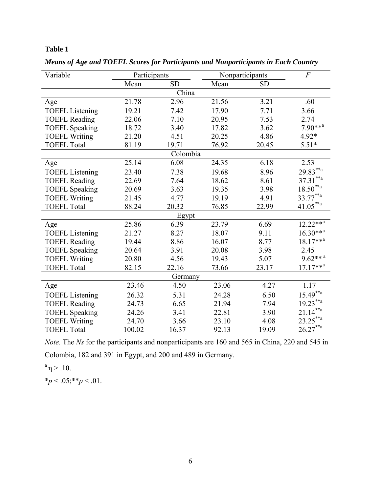| Variable               | Participants |           |       | Nonparticipants |                        |  |  |
|------------------------|--------------|-----------|-------|-----------------|------------------------|--|--|
|                        | Mean         | <b>SD</b> | Mean  | <b>SD</b>       |                        |  |  |
|                        |              | China     |       |                 |                        |  |  |
| Age                    | 21.78        | 2.96      | 21.56 | 3.21            | .60                    |  |  |
| <b>TOEFL Listening</b> | 19.21        | 7.42      | 17.90 | 7.71            | 3.66                   |  |  |
| <b>TOEFL Reading</b>   | 22.06        | 7.10      | 20.95 | 7.53            | 2.74                   |  |  |
| <b>TOEFL Speaking</b>  | 18.72        | 3.40      | 17.82 | 3.62            | $7.90***a$             |  |  |
| <b>TOEFL Writing</b>   | 21.20        | 4.51      | 20.25 | 4.86            | 4.92*                  |  |  |
| <b>TOEFL Total</b>     | 81.19        | 19.71     | 76.92 | 20.45           | $5.51*$                |  |  |
|                        |              | Colombia  |       |                 |                        |  |  |
| Age                    | 25.14        | 6.08      | 24.35 | 6.18            | 2.53                   |  |  |
| <b>TOEFL Listening</b> | 23.40        | 7.38      | 19.68 | 8.96            | $29.83***$             |  |  |
| <b>TOEFL Reading</b>   | 22.69        | 7.64      | 18.62 | 8.61            | $37.31***$             |  |  |
| <b>TOEFL Speaking</b>  | 20.69        | 3.63      | 19.35 | 3.98            | $18.50^{\ast\ast_{a}}$ |  |  |
| <b>TOEFL Writing</b>   | 21.45        | 4.77      | 19.19 | 4.91            | $33.77***$             |  |  |
| <b>TOEFL Total</b>     | 88.24        | 20.32     | 76.85 | 22.99           | $41.05***$             |  |  |
|                        |              | Egypt     |       |                 |                        |  |  |
| Age                    | 25.86        | 6.39      | 23.79 | 6.69            | $12.22**$ <sup>a</sup> |  |  |
| <b>TOEFL Listening</b> | 21.27        | 8.27      | 18.07 | 9.11            | $16.30***a$            |  |  |
| <b>TOEFL Reading</b>   | 19.44        | 8.86      | 16.07 | 8.77            | 18.17***               |  |  |
| <b>TOEFL Speaking</b>  | 20.64        | 3.91      | 20.08 | 3.98            | 2.45                   |  |  |
| <b>TOEFL Writing</b>   | 20.80        | 4.56      | 19.43 | 5.07            | $9.62***$ <sup>a</sup> |  |  |
| <b>TOEFL Total</b>     | 82.15        | 22.16     | 73.66 | 23.17           | $17.17***^{\rm a}$     |  |  |
|                        |              | Germany   |       |                 |                        |  |  |
| Age                    | 23.46        | 4.50      | 23.06 | 4.27            | 1.17                   |  |  |
| <b>TOEFL Listening</b> | 26.32        | 5.31      | 24.28 | 6.50            | $15.49***a$            |  |  |
| <b>TOEFL Reading</b>   | 24.73        | 6.65      | 21.94 | 7.94            | $19.23***$             |  |  |
| <b>TOEFL Speaking</b>  | 24.26        | 3.41      | 22.81 | 3.90            | $21.14***a$            |  |  |
| <b>TOEFL Writing</b>   | 24.70        | 3.66      | 23.10 | 4.08            | $23.25***$             |  |  |
| <b>TOEFL Total</b>     | 100.02       | 16.37     | 92.13 | 19.09           | $26.27***$             |  |  |

*Means of Age and TOEFL Scores for Participants and Nonparticipants in Each Country* 

*Note.* The *Ns* for the participants and nonparticipants are 160 and 565 in China, 220 and 545 in Colombia, 182 and 391 in Egypt, and 200 and 489 in Germany.

 $a_{\eta} > .10$ .

 $*_{p}$  < .05; \*\* *p* < .01.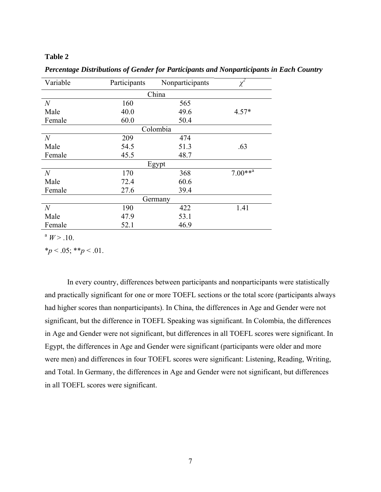| Variable       | Participants | Nonparticipants |                   |
|----------------|--------------|-----------------|-------------------|
|                |              | China           |                   |
| $\overline{N}$ | 160          | 565             |                   |
| Male           | 40.0         | 49.6            | $4.57*$           |
| Female         | 60.0         | 50.4            |                   |
|                |              | Colombia        |                   |
| $\mathcal N$   | 209          | 474             |                   |
| Male           | 54.5         | 51.3            | .63               |
| Female         | 45.5         | 48.7            |                   |
|                |              | Egypt           |                   |
| $\mathcal N$   | 170          | 368             | $7.00***^{\rm a}$ |
| Male           | 72.4         | 60.6            |                   |
| Female         | 27.6         | 39.4            |                   |
|                |              | Germany         |                   |
| N              | 190          | 422             | 1.41              |
| Male           | 47.9         | 53.1            |                   |
| Female         | 52.1         | 46.9            |                   |

*Percentage Distributions of Gender for Participants and Nonparticipants in Each Country* 

 $^{\rm a}$  *W* > .10.

 $*_p$  < .05;  $*_p$  < .01.

In every country, differences between participants and nonparticipants were statistically and practically significant for one or more TOEFL sections or the total score (participants always had higher scores than nonparticipants). In China, the differences in Age and Gender were not significant, but the difference in TOEFL Speaking was significant. In Colombia, the differences in Age and Gender were not significant, but differences in all TOEFL scores were significant. In Egypt, the differences in Age and Gender were significant (participants were older and more were men) and differences in four TOEFL scores were significant: Listening, Reading, Writing, and Total. In Germany, the differences in Age and Gender were not significant, but differences in all TOEFL scores were significant.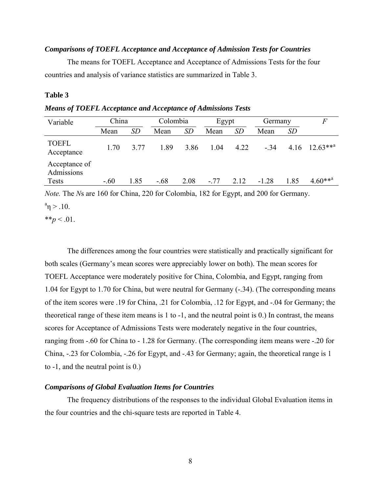#### *Comparisons of TOEFL Acceptance and Acceptance of Admission Tests for Countries*

The means for TOEFL Acceptance and Acceptance of Admissions Tests for the four countries and analysis of variance statistics are summarized in Table 3.

#### **Table 3**

|  |  | <b>Means of TOEFL Acceptance and Acceptance of Admissions Tests</b> |  |
|--|--|---------------------------------------------------------------------|--|
|--|--|---------------------------------------------------------------------|--|

| Variable                                    | China  |      | Colombia |      | Egypt  |      | Germany | $\overline{F}$ |                        |
|---------------------------------------------|--------|------|----------|------|--------|------|---------|----------------|------------------------|
|                                             | Mean   | SD   | Mean     | SD   | Mean   | SD   | Mean    | SD             |                        |
| <b>TOEFL</b><br>Acceptance                  | 1.70   | 3.77 | 1.89     | 3.86 | 1.04   | 4.22 | $-.34$  |                | 4.16 $12.63***^a$      |
| Acceptance of<br>Admissions<br><b>Tests</b> | $-.60$ | 1.85 | $-.68$   | 2.08 | $-.77$ | 2.12 | $-1.28$ | 1.85           | $4.60***^{\mathrm{a}}$ |

*Note.* The *N*s are 160 for China, 220 for Colombia, 182 for Egypt, and 200 for Germany.  $a_{\eta} > .10$ .

 $**_p < 0.01$ .

The differences among the four countries were statistically and practically significant for both scales (Germany's mean scores were appreciably lower on both). The mean scores for TOEFL Acceptance were moderately positive for China, Colombia, and Egypt, ranging from 1.04 for Egypt to 1.70 for China, but were neutral for Germany (-.34). (The corresponding means of the item scores were .19 for China, .21 for Colombia, .12 for Egypt, and -.04 for Germany; the theoretical range of these item means is 1 to -1, and the neutral point is 0.) In contrast, the means scores for Acceptance of Admissions Tests were moderately negative in the four countries, ranging from -.60 for China to - 1.28 for Germany. (The corresponding item means were -.20 for China, -.23 for Colombia, -.26 for Egypt, and -.43 for Germany; again, the theoretical range is 1 to -1, and the neutral point is 0.)

#### *Comparisons of Global Evaluation Items for Countries*

The frequency distributions of the responses to the individual Global Evaluation items in the four countries and the chi-square tests are reported in Table 4.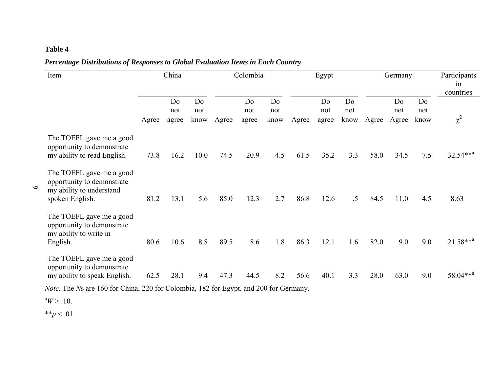## *Percentage Distributions of Responses to Global Evaluation Items in Each Country*

| Item                                                                                                  | China |           |           | Colombia |           |           | Egypt |           |           | Germany | Participants<br>1n<br>countries |           |                      |
|-------------------------------------------------------------------------------------------------------|-------|-----------|-----------|----------|-----------|-----------|-------|-----------|-----------|---------|---------------------------------|-----------|----------------------|
|                                                                                                       |       | Do<br>not | Do<br>not |          | Do<br>not | Do<br>not |       | Do<br>not | Do<br>not |         | Do<br>not                       | Do<br>not |                      |
|                                                                                                       | Agree | agree     | know      | Agree    | agree     | know      | Agree | agree     | know      | Agree   | Agree                           | know      |                      |
| The TOEFL gave me a good<br>opportunity to demonstrate<br>my ability to read English.                 | 73.8  | 16.2      | 10.0      | 74.5     | 20.9      | 4.5       | 61.5  | 35.2      | 3.3       | 58.0    | 34.5                            | 7.5       | $32.54***^a$         |
| The TOEFL gave me a good<br>opportunity to demonstrate<br>my ability to understand<br>spoken English. | 81.2  | 13.1      | 5.6       | 85.0     | 12.3      | 2.7       | 86.8  | 12.6      | $.5\,$    | 84.5    | 11.0                            | 4.5       | 8.63                 |
| The TOEFL gave me a good<br>opportunity to demonstrate<br>my ability to write in<br>English.          | 80.6  | 10.6      | 8.8       | 89.5     | 8.6       | 1.8       | 86.3  | 12.1      | 1.6       | 82.0    | 9.0                             | 9.0       | $21.58***a$          |
| The TOEFL gave me a good<br>opportunity to demonstrate<br>my ability to speak English.                | 62.5  | 28.1      | 9.4       | 47.3     | 44.5      | 8.2       | 56.6  | 40.1      | 3.3       | 28.0    | 63.0                            | 9.0       | 58.04** <sup>a</sup> |

*Note.* The *N*s are 160 for China, 220 for Colombia, 182 for Egypt, and 200 for Germany.

 $\binom{a}{k}$  > .10.

 $\mathbf{\hat{9}}$ 

\*\* $p < .01$ .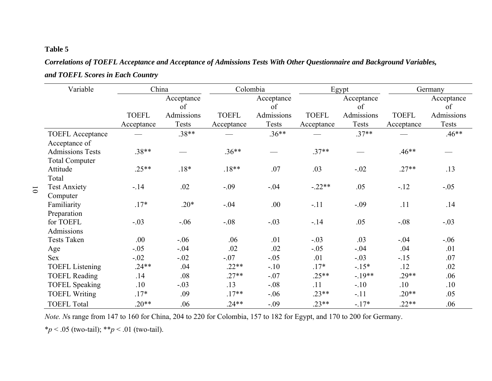10

## *Correlations of TOEFL Acceptance and Acceptance of Admissions Tests With Other Questionnaire and Background Variables, and TOEFL Scores in Each Country*

| Variable                | China        |            | Colombia     |            |              | Egypt        |              | Germany    |  |  |
|-------------------------|--------------|------------|--------------|------------|--------------|--------------|--------------|------------|--|--|
|                         |              | Acceptance |              | Acceptance |              | Acceptance   |              | Acceptance |  |  |
|                         |              | of         |              | of         |              | of           |              | of         |  |  |
|                         | <b>TOEFL</b> | Admissions | <b>TOEFL</b> | Admissions | <b>TOEFL</b> | Admissions   | <b>TOEFL</b> | Admissions |  |  |
|                         | Acceptance   | Tests      | Acceptance   | Tests      | Acceptance   | <b>Tests</b> | Acceptance   | Tests      |  |  |
| <b>TOEFL</b> Acceptance |              | $.38**$    |              | $.36**$    |              | $.37**$      |              | $.46**$    |  |  |
| Acceptance of           |              |            |              |            |              |              |              |            |  |  |
| <b>Admissions Tests</b> | $.38**$      |            | $.36**$      |            | $.37**$      |              | $.46**$      |            |  |  |
| <b>Total Computer</b>   |              |            |              |            |              |              |              |            |  |  |
| Attitude                | $.25**$      | $.18*$     | $.18**$      | .07        | .03          | $-.02$       | $.27**$      | .13        |  |  |
| Total                   |              |            |              |            |              |              |              |            |  |  |
| <b>Test Anxiety</b>     | $-14$        | .02        | $-.09$       | $-.04$     | $-.22**$     | .05          | $-12$        | $-.05$     |  |  |
| Computer                |              |            |              |            |              |              |              |            |  |  |
| Familiarity             | $.17*$       | $.20*$     | $-.04$       | .00        | $-.11$       | $-.09$       | .11          | .14        |  |  |
| Preparation             |              |            |              |            |              |              |              |            |  |  |
| for TOEFL               | $-.03$       | $-.06$     | $-.08$       | $-.03$     | $-14$        | .05          | $-.08$       | $-.03$     |  |  |
| Admissions              |              |            |              |            |              |              |              |            |  |  |
| <b>Tests Taken</b>      | .00.         | $-06$      | .06          | .01        | $-.03$       | .03          | $-.04$       | $-06$      |  |  |
| Age                     | $-.05$       | $-.04$     | .02          | .02        | $-.05$       | $-.04$       | .04          | .01        |  |  |
| <b>Sex</b>              | $-.02$       | $-.02$     | $-.07$       | $-.05$     | .01          | $-.03$       | $-15$        | .07        |  |  |
| <b>TOEFL Listening</b>  | $.24**$      | .04        | $.22**$      | $-.10$     | $.17*$       | $-15*$       | .12          | .02        |  |  |
| <b>TOEFL Reading</b>    | .14          | .08        | $.27**$      | $-.07$     | $.25**$      | $-19**$      | $.29**$      | .06        |  |  |
| <b>TOFEL Speaking</b>   | .10          | $-.03$     | .13          | $-.08$     | .11          | $-.10$       | .10          | .10        |  |  |
| <b>TOEFL Writing</b>    | $.17*$       | .09        | $.17**$      | $-.06$     | $.23**$      | $-.11$       | $.20**$      | .05        |  |  |
| <b>TOEFL Total</b>      | $.20**$      | .06        | $.24**$      | $-.09$     | $.23**$      | $-17*$       | $.22**$      | .06        |  |  |

*Note. N*s range from 147 to 160 for China, 204 to 220 for Colombia, 157 to 182 for Egypt, and 170 to 200 for Germany.

\**p* < .05 (two-tail); \*\**p* < .01 (two-tail).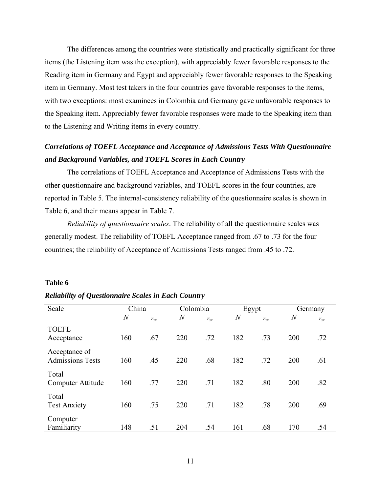The differences among the countries were statistically and practically significant for three items (the Listening item was the exception), with appreciably fewer favorable responses to the Reading item in Germany and Egypt and appreciably fewer favorable responses to the Speaking item in Germany. Most test takers in the four countries gave favorable responses to the items, with two exceptions: most examinees in Colombia and Germany gave unfavorable responses to the Speaking item. Appreciably fewer favorable responses were made to the Speaking item than to the Listening and Writing items in every country.

## *Correlations of TOEFL Acceptance and Acceptance of Admissions Tests With Questionnaire and Background Variables, and TOEFL Scores in Each Country*

The correlations of TOEFL Acceptance and Acceptance of Admissions Tests with the other questionnaire and background variables, and TOEFL scores in the four countries, are reported in Table 5. The internal-consistency reliability of the questionnaire scales is shown in Table 6, and their means appear in Table 7.

*Reliability of questionnaire scales*. The reliability of all the questionnaire scales was generally modest. The reliability of TOEFL Acceptance ranged from .67 to .73 for the four countries; the reliability of Acceptance of Admissions Tests ranged from .45 to .72.

#### **Table 6**

| Scale                                    | China          |          | Colombia       |          | Egypt          |          | Germany        |          |
|------------------------------------------|----------------|----------|----------------|----------|----------------|----------|----------------|----------|
|                                          | $\overline{N}$ | $r_{xx}$ | $\overline{N}$ | $r_{xx}$ | $\overline{N}$ | $r_{xx}$ | $\overline{N}$ | $r_{xx}$ |
| <b>TOEFL</b><br>Acceptance               | 160            | .67      | 220            | .72      | 182            | .73      | 200            | .72      |
| Acceptance of<br><b>Admissions Tests</b> | 160            | .45      | 220            | .68      | 182            | .72      | 200            | .61      |
| Total<br>Computer Attitude               | 160            | .77      | 220            | .71      | 182            | .80      | 200            | .82      |
| Total<br><b>Test Anxiety</b>             | 160            | .75      | 220            | .71      | 182            | .78      | 200            | .69      |
| Computer<br>Familiarity                  | 148            | .51      | 204            | .54      | 161            | .68      | 170            | .54      |

*Reliability of Questionnaire Scales in Each Country*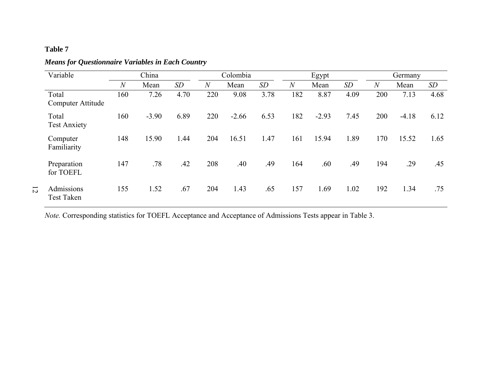| Variable                        | China          |         |      |              | Colombia |      |       | Egypt   |      |       | Germany |      |  |
|---------------------------------|----------------|---------|------|--------------|----------|------|-------|---------|------|-------|---------|------|--|
|                                 | $\overline{N}$ | Mean    | SD   | $\mathcal N$ | Mean     | SD   | $\,N$ | Mean    | SD   | $\,N$ | Mean    | SD   |  |
| Total<br>Computer Attitude      | 160            | 7.26    | 4.70 | 220          | 9.08     | 3.78 | 182   | 8.87    | 4.09 | 200   | 7.13    | 4.68 |  |
| Total<br><b>Test Anxiety</b>    | 160            | $-3.90$ | 6.89 | 220          | $-2.66$  | 6.53 | 182   | $-2.93$ | 7.45 | 200   | $-4.18$ | 6.12 |  |
| Computer<br>Familiarity         | 148            | 15.90   | .44  | 204          | 16.51    | .47  | 161   | 15.94   | 1.89 | 170   | 15.52   | 1.65 |  |
| Preparation<br>for TOEFL        | 147            | .78     | .42  | 208          | .40      | .49  | 164   | .60     | .49  | 194   | .29     | .45  |  |
| Admissions<br><b>Test Taken</b> | 155            | 1.52    | .67  | 204          | 1.43     | .65  | 157   | 1.69    | 1.02 | 192   | 1.34    | .75  |  |

## *Means for Questionnaire Variables in Each Country*

*Note.* Corresponding statistics for TOEFL Acceptance and Acceptance of Admissions Tests appear in Table 3.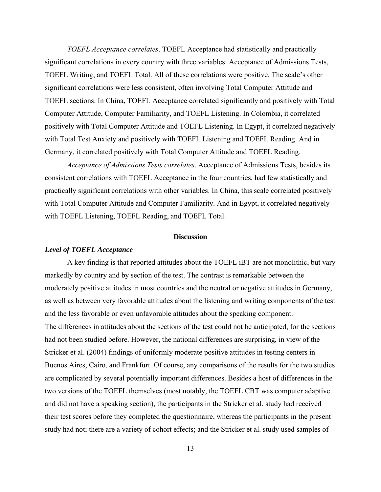*TOEFL Acceptance correlates*. TOEFL Acceptance had statistically and practically significant correlations in every country with three variables: Acceptance of Admissions Tests, TOEFL Writing, and TOEFL Total. All of these correlations were positive. The scale's other significant correlations were less consistent, often involving Total Computer Attitude and TOEFL sections. In China, TOEFL Acceptance correlated significantly and positively with Total Computer Attitude, Computer Familiarity, and TOEFL Listening. In Colombia, it correlated positively with Total Computer Attitude and TOEFL Listening. In Egypt, it correlated negatively with Total Test Anxiety and positively with TOEFL Listening and TOEFL Reading. And in Germany, it correlated positively with Total Computer Attitude and TOEFL Reading.

*Acceptance of Admissions Tests correlates*. Acceptance of Admissions Tests, besides its consistent correlations with TOEFL Acceptance in the four countries, had few statistically and practically significant correlations with other variables. In China, this scale correlated positively with Total Computer Attitude and Computer Familiarity. And in Egypt, it correlated negatively with TOEFL Listening, TOEFL Reading, and TOEFL Total.

#### **Discussion**

#### *Level of TOEFL Acceptance*

A key finding is that reported attitudes about the TOEFL iBT are not monolithic, but vary markedly by country and by section of the test. The contrast is remarkable between the moderately positive attitudes in most countries and the neutral or negative attitudes in Germany, as well as between very favorable attitudes about the listening and writing components of the test and the less favorable or even unfavorable attitudes about the speaking component. The differences in attitudes about the sections of the test could not be anticipated, for the sections had not been studied before. However, the national differences are surprising, in view of the Stricker et al. (2004) findings of uniformly moderate positive attitudes in testing centers in Buenos Aires, Cairo, and Frankfurt. Of course, any comparisons of the results for the two studies are complicated by several potentially important differences. Besides a host of differences in the two versions of the TOEFL themselves (most notably, the TOEFL CBT was computer adaptive and did not have a speaking section), the participants in the Stricker et al. study had received their test scores before they completed the questionnaire, whereas the participants in the present study had not; there are a variety of cohort effects; and the Stricker et al. study used samples of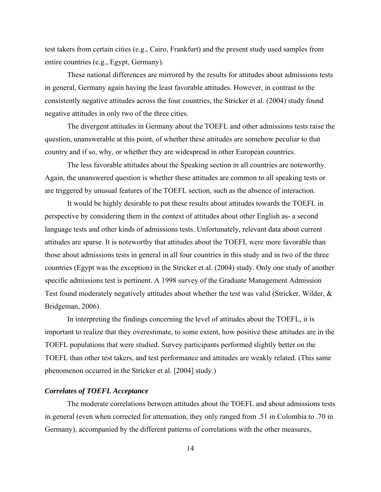test takers from certain cities (e.g., Cairo, Frankfurt) and the present study used samples from entire countries (e.g., Egypt, Germany).

These national differences are mirrored by the results for attitudes about admissions tests in general, Germany again having the least favorable attitudes. However, in contrast to the consistently negative attitudes across the four countries, the Stricker et al. (2004) study found negative attitudes in only two of the three cities.

The divergent attitudes in Germany about the TOEFL and other admissions tests raise the question, unanswerable at this point, of whether these attitudes are somehow peculiar to that country and if so, why, or whether they are widespread in other European countries.

The less favorable attitudes about the Speaking section in all countries are noteworthy. Again, the unanswered question is whether these attitudes are common to all speaking tests or are triggered by unusual features of the TOEFL section, such as the absence of interaction.

It would be highly desirable to put these results about attitudes towards the TOEFL in perspective by considering them in the context of attitudes about other English as- a second language tests and other kinds of admissions tests. Unfortunately, relevant data about current attitudes are sparse. It is noteworthy that attitudes about the TOEFL were more favorable than those about admissions tests in general in all four countries in this study and in two of the three countries (Egypt was the exception) in the Stricker et al. (2004) study. Only one study of another specific admissions test is pertinent. A 1998 survey of the Graduate Management Admission Test found moderately negatively attitudes about whether the test was valid (Stricker, Wilder, & Bridgeman, 2006).

In interpreting the findings concerning the level of attitudes about the TOEFL, it is important to realize that they overestimate, to some extent, how positive these attitudes are in the TOEFL populations that were studied. Survey participants performed slightly better on the TOEFL than other test takers, and test performance and attitudes are weakly related. (This same phenomenon occurred in the Stricker et al. [2004] study.)

#### *Correlates of TOEFL Acceptance*

The moderate correlations between attitudes about the TOEFL and about admissions tests in general (even when corrected for attenuation, they only ranged from .51 in Colombia to .70 in Germany), accompanied by the different patterns of correlations with the other measures,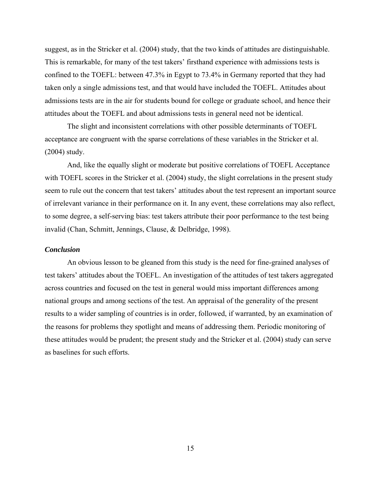suggest, as in the Stricker et al. (2004) study, that the two kinds of attitudes are distinguishable. This is remarkable, for many of the test takers' firsthand experience with admissions tests is confined to the TOEFL: between 47.3% in Egypt to 73.4% in Germany reported that they had taken only a single admissions test, and that would have included the TOEFL. Attitudes about admissions tests are in the air for students bound for college or graduate school, and hence their attitudes about the TOEFL and about admissions tests in general need not be identical.

The slight and inconsistent correlations with other possible determinants of TOEFL acceptance are congruent with the sparse correlations of these variables in the Stricker et al. (2004) study.

And, like the equally slight or moderate but positive correlations of TOEFL Acceptance with TOEFL scores in the Stricker et al. (2004) study, the slight correlations in the present study seem to rule out the concern that test takers' attitudes about the test represent an important source of irrelevant variance in their performance on it. In any event, these correlations may also reflect, to some degree, a self-serving bias: test takers attribute their poor performance to the test being invalid (Chan, Schmitt, Jennings, Clause, & Delbridge, 1998).

#### *Conclusion*

An obvious lesson to be gleaned from this study is the need for fine-grained analyses of test takers' attitudes about the TOEFL. An investigation of the attitudes of test takers aggregated across countries and focused on the test in general would miss important differences among national groups and among sections of the test. An appraisal of the generality of the present results to a wider sampling of countries is in order, followed, if warranted, by an examination of the reasons for problems they spotlight and means of addressing them. Periodic monitoring of these attitudes would be prudent; the present study and the Stricker et al. (2004) study can serve as baselines for such efforts.